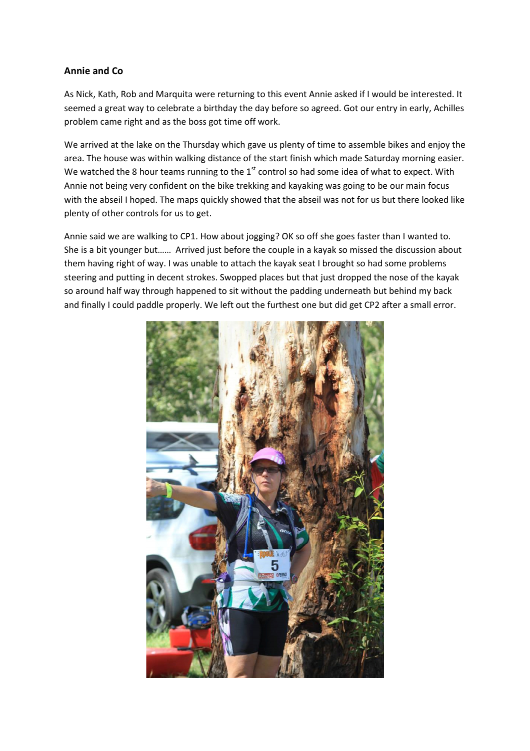## **Annie and Co**

As Nick, Kath, Rob and Marquita were returning to this event Annie asked if I would be interested. It seemed a great way to celebrate a birthday the day before so agreed. Got our entry in early, Achilles problem came right and as the boss got time off work.

We arrived at the lake on the Thursday which gave us plenty of time to assemble bikes and enjoy the area. The house was within walking distance of the start finish which made Saturday morning easier. We watched the 8 hour teams running to the  $1<sup>st</sup>$  control so had some idea of what to expect. With Annie not being very confident on the bike trekking and kayaking was going to be our main focus with the abseil I hoped. The maps quickly showed that the abseil was not for us but there looked like plenty of other controls for us to get.

Annie said we are walking to CP1. How about jogging? OK so off she goes faster than I wanted to. She is a bit younger but…… Arrived just before the couple in a kayak so missed the discussion about them having right of way. I was unable to attach the kayak seat I brought so had some problems steering and putting in decent strokes. Swopped places but that just dropped the nose of the kayak so around half way through happened to sit without the padding underneath but behind my back and finally I could paddle properly. We left out the furthest one but did get CP2 after a small error.